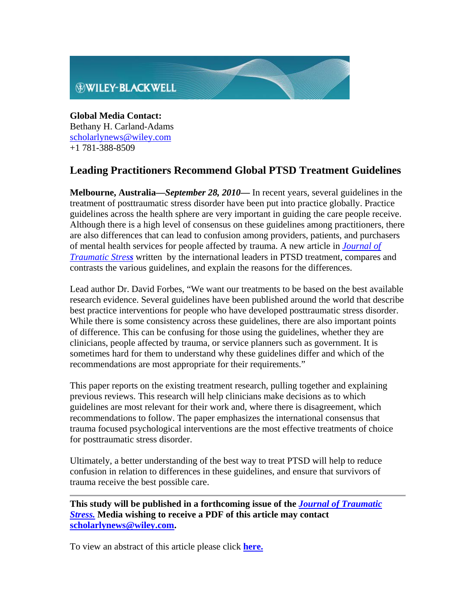

**Global Media Contact:** Bethany H. Carland-Adams scholarlynews@wiley.com +1 781-388-8509

## **Leading Practitioners Recommend Global PTSD Treatment Guidelines**

**Melbourne, Australia—***September 28, 2010***—** In recent years, several guidelines in the treatment of posttraumatic stress disorder have been put into practice globally. Practice guidelines across the health sphere are very important in guiding the care people receive. Although there is a high level of consensus on these guidelines among practitioners, there are also differences that can lead to confusion among providers, patients, and purchasers of mental health services for people affected by trauma. A new article in *Journal of Traumatic Stress* written by the international leaders in PTSD treatment, compares and contrasts the various guidelines, and explain the reasons for the differences.

Lead author Dr. David Forbes, "We want our treatments to be based on the best available research evidence. Several guidelines have been published around the world that describe best practice interventions for people who have developed posttraumatic stress disorder. While there is some consistency across these guidelines, there are also important points of difference. This can be confusing for those using the guidelines, whether they are clinicians, people affected by trauma, or service planners such as government. It is sometimes hard for them to understand why these guidelines differ and which of the recommendations are most appropriate for their requirements."

This paper reports on the existing treatment research, pulling together and explaining previous reviews. This research will help clinicians make decisions as to which guidelines are most relevant for their work and, where there is disagreement, which recommendations to follow. The paper emphasizes the international consensus that trauma focused psychological interventions are the most effective treatments of choice for posttraumatic stress disorder.

Ultimately, a better understanding of the best way to treat PTSD will help to reduce confusion in relation to differences in these guidelines, and ensure that survivors of trauma receive the best possible care.

**This study will be published in a forthcoming issue of the** *Journal of Traumatic Stress.* **Media wishing to receive a PDF of this article may contact scholarlynews@wiley.com.**

To view an abstract of this article please click **here.**